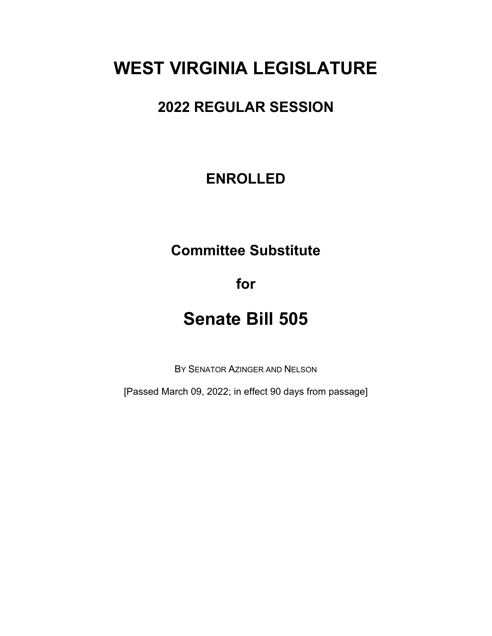# **WEST VIRGINIA LEGISLATURE**

### **2022 REGULAR SESSION**

## **ENROLLED**

# **Committee Substitute**

**for**

# **Senate Bill 505**

BY SENATOR AZINGER AND NELSON

[Passed March 09, 2022; in effect 90 days from passage]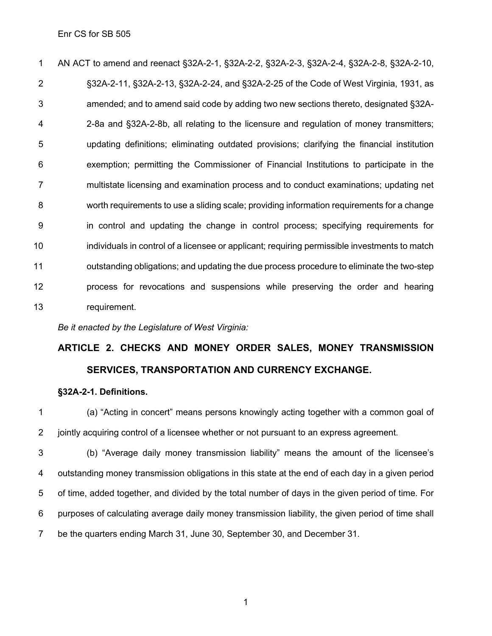AN ACT to amend and reenact §32A-2-1, §32A-2-2, §32A-2-3, §32A-2-4, §32A-2-8, §32A-2-10, §32A-2-11, §32A-2-13, §32A-2-24, and §32A-2-25 of the Code of West Virginia, 1931, as amended; and to amend said code by adding two new sections thereto, designated §32A- 2-8a and §32A-2-8b, all relating to the licensure and regulation of money transmitters; updating definitions; eliminating outdated provisions; clarifying the financial institution exemption; permitting the Commissioner of Financial Institutions to participate in the multistate licensing and examination process and to conduct examinations; updating net worth requirements to use a sliding scale; providing information requirements for a change in control and updating the change in control process; specifying requirements for individuals in control of a licensee or applicant; requiring permissible investments to match outstanding obligations; and updating the due process procedure to eliminate the two-step process for revocations and suspensions while preserving the order and hearing requirement.

*Be it enacted by the Legislature of West Virginia:*

## **ARTICLE 2. CHECKS AND MONEY ORDER SALES, MONEY TRANSMISSION SERVICES, TRANSPORTATION AND CURRENCY EXCHANGE.**

#### **§32A-2-1. Definitions.**

 (a) "Acting in concert" means persons knowingly acting together with a common goal of jointly acquiring control of a licensee whether or not pursuant to an express agreement.

 (b) "Average daily money transmission liability" means the amount of the licensee's outstanding money transmission obligations in this state at the end of each day in a given period of time, added together, and divided by the total number of days in the given period of time. For purposes of calculating average daily money transmission liability, the given period of time shall be the quarters ending March 31, June 30, September 30, and December 31.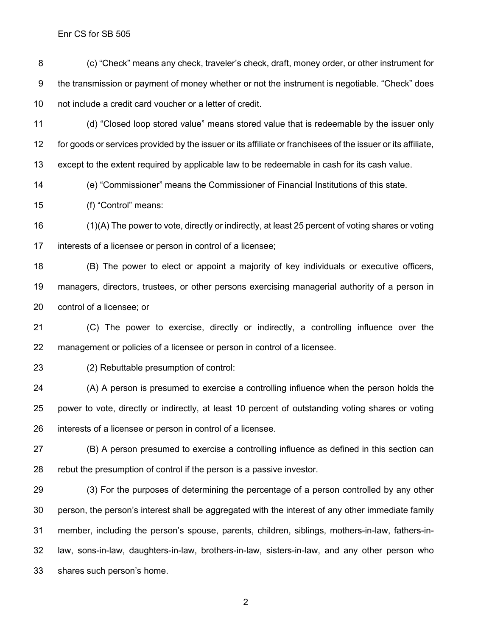(c) "Check" means any check, traveler's check, draft, money order, or other instrument for the transmission or payment of money whether or not the instrument is negotiable. "Check" does not include a credit card voucher or a letter of credit.

 (d) "Closed loop stored value" means stored value that is redeemable by the issuer only for goods or services provided by the issuer or its affiliate or franchisees of the issuer or its affiliate, except to the extent required by applicable law to be redeemable in cash for its cash value.

(e) "Commissioner" means the Commissioner of Financial Institutions of this state.

(f) "Control" means:

 (1)(A) The power to vote, directly or indirectly, at least 25 percent of voting shares or voting interests of a licensee or person in control of a licensee;

 (B) The power to elect or appoint a majority of key individuals or executive officers, managers, directors, trustees, or other persons exercising managerial authority of a person in control of a licensee; or

 (C) The power to exercise, directly or indirectly, a controlling influence over the management or policies of a licensee or person in control of a licensee.

(2) Rebuttable presumption of control:

 (A) A person is presumed to exercise a controlling influence when the person holds the power to vote, directly or indirectly, at least 10 percent of outstanding voting shares or voting interests of a licensee or person in control of a licensee.

 (B) A person presumed to exercise a controlling influence as defined in this section can rebut the presumption of control if the person is a passive investor.

 (3) For the purposes of determining the percentage of a person controlled by any other person, the person's interest shall be aggregated with the interest of any other immediate family member, including the person's spouse, parents, children, siblings, mothers-in-law, fathers-in- law, sons-in-law, daughters-in-law, brothers-in-law, sisters-in-law, and any other person who shares such person's home.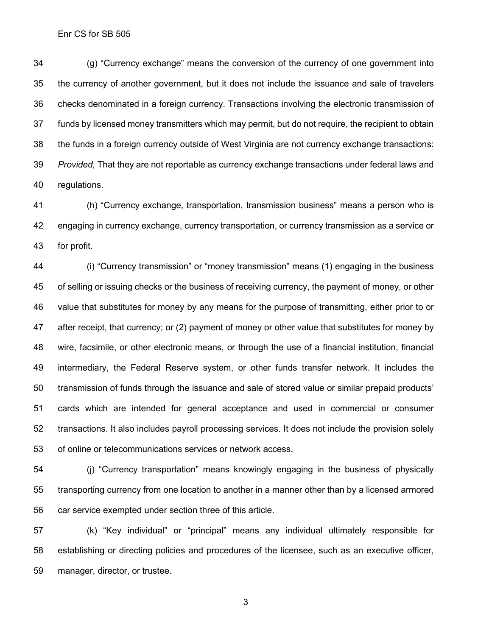(g) "Currency exchange" means the conversion of the currency of one government into the currency of another government, but it does not include the issuance and sale of travelers checks denominated in a foreign currency. Transactions involving the electronic transmission of funds by licensed money transmitters which may permit, but do not require, the recipient to obtain the funds in a foreign currency outside of West Virginia are not currency exchange transactions: *Provided,* That they are not reportable as currency exchange transactions under federal laws and regulations.

 (h) "Currency exchange, transportation, transmission business" means a person who is engaging in currency exchange, currency transportation, or currency transmission as a service or for profit.

 (i) "Currency transmission" or "money transmission" means (1) engaging in the business of selling or issuing checks or the business of receiving currency, the payment of money, or other value that substitutes for money by any means for the purpose of transmitting, either prior to or after receipt, that currency; or (2) payment of money or other value that substitutes for money by wire, facsimile, or other electronic means, or through the use of a financial institution, financial intermediary, the Federal Reserve system, or other funds transfer network. It includes the transmission of funds through the issuance and sale of stored value or similar prepaid products' cards which are intended for general acceptance and used in commercial or consumer transactions. It also includes payroll processing services. It does not include the provision solely of online or telecommunications services or network access.

 (j) "Currency transportation" means knowingly engaging in the business of physically transporting currency from one location to another in a manner other than by a licensed armored car service exempted under section three of this article.

 (k) "Key individual" or "principal" means any individual ultimately responsible for establishing or directing policies and procedures of the licensee, such as an executive officer, manager, director, or trustee.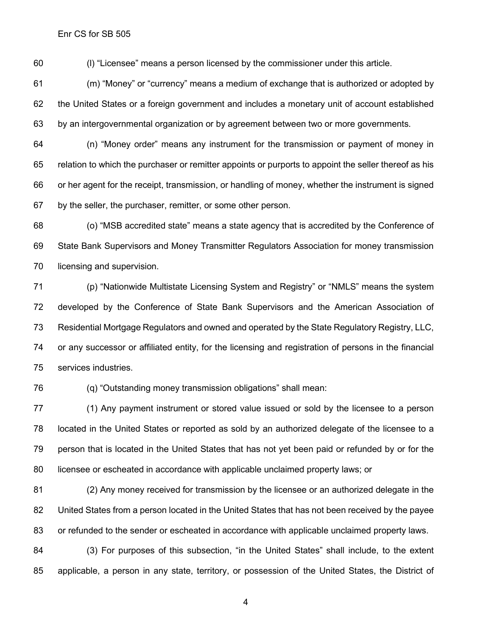(l) "Licensee" means a person licensed by the commissioner under this article.

 (m) "Money" or "currency" means a medium of exchange that is authorized or adopted by the United States or a foreign government and includes a monetary unit of account established by an intergovernmental organization or by agreement between two or more governments.

 (n) "Money order" means any instrument for the transmission or payment of money in relation to which the purchaser or remitter appoints or purports to appoint the seller thereof as his or her agent for the receipt, transmission, or handling of money, whether the instrument is signed by the seller, the purchaser, remitter, or some other person.

 (o) "MSB accredited state" means a state agency that is accredited by the Conference of State Bank Supervisors and Money Transmitter Regulators Association for money transmission licensing and supervision.

 (p) "Nationwide Multistate Licensing System and Registry" or "NMLS" means the system developed by the Conference of State Bank Supervisors and the American Association of Residential Mortgage Regulators and owned and operated by the State Regulatory Registry, LLC, or any successor or affiliated entity, for the licensing and registration of persons in the financial services industries.

(q) "Outstanding money transmission obligations" shall mean:

 (1) Any payment instrument or stored value issued or sold by the licensee to a person located in the United States or reported as sold by an authorized delegate of the licensee to a person that is located in the United States that has not yet been paid or refunded by or for the licensee or escheated in accordance with applicable unclaimed property laws; or

 (2) Any money received for transmission by the licensee or an authorized delegate in the United States from a person located in the United States that has not been received by the payee or refunded to the sender or escheated in accordance with applicable unclaimed property laws.

 (3) For purposes of this subsection, "in the United States" shall include, to the extent applicable, a person in any state, territory, or possession of the United States, the District of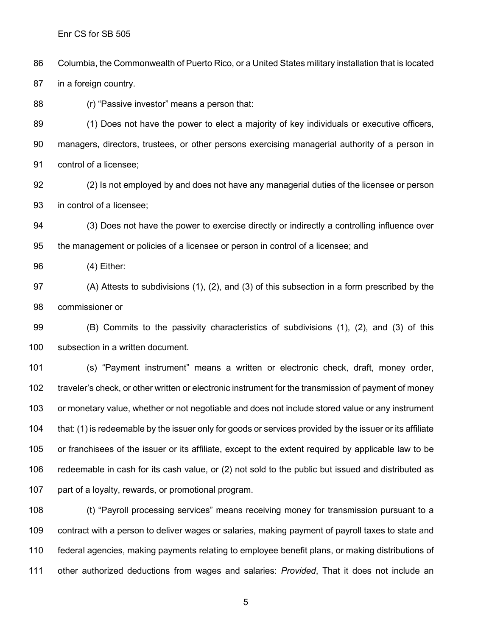Columbia, the Commonwealth of Puerto Rico, or a United States military installation that is located in a foreign country.

(r) "Passive investor" means a person that:

 (1) Does not have the power to elect a majority of key individuals or executive officers, managers, directors, trustees, or other persons exercising managerial authority of a person in control of a licensee;

 (2) Is not employed by and does not have any managerial duties of the licensee or person in control of a licensee;

 (3) Does not have the power to exercise directly or indirectly a controlling influence over the management or policies of a licensee or person in control of a licensee; and

(4) Either:

 (A) Attests to subdivisions (1), (2), and (3) of this subsection in a form prescribed by the commissioner or

 (B) Commits to the passivity characteristics of subdivisions (1), (2), and (3) of this subsection in a written document.

 (s) "Payment instrument" means a written or electronic check, draft, money order, 102 traveler's check, or other written or electronic instrument for the transmission of payment of money or monetary value, whether or not negotiable and does not include stored value or any instrument that: (1) is redeemable by the issuer only for goods or services provided by the issuer or its affiliate or franchisees of the issuer or its affiliate, except to the extent required by applicable law to be redeemable in cash for its cash value, or (2) not sold to the public but issued and distributed as part of a loyalty, rewards, or promotional program.

 (t) "Payroll processing services" means receiving money for transmission pursuant to a contract with a person to deliver wages or salaries, making payment of payroll taxes to state and federal agencies, making payments relating to employee benefit plans, or making distributions of other authorized deductions from wages and salaries: *Provided*, That it does not include an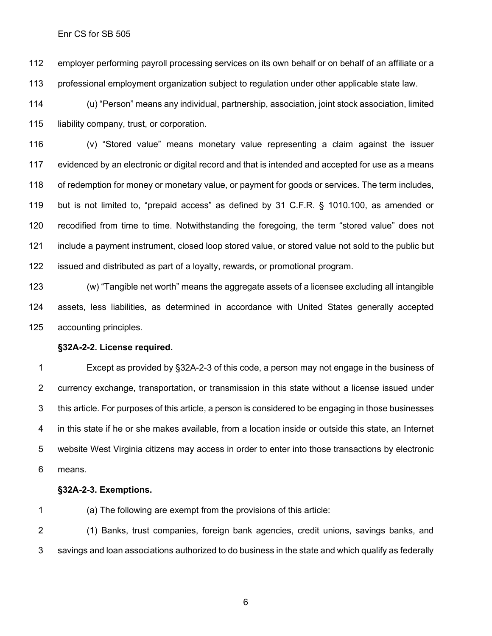employer performing payroll processing services on its own behalf or on behalf of an affiliate or a professional employment organization subject to regulation under other applicable state law.

 (u) "Person" means any individual, partnership, association, joint stock association, limited liability company, trust, or corporation.

 (v) "Stored value" means monetary value representing a claim against the issuer evidenced by an electronic or digital record and that is intended and accepted for use as a means of redemption for money or monetary value, or payment for goods or services. The term includes, but is not limited to, "prepaid access" as defined by 31 C.F.R. § 1010.100, as amended or recodified from time to time. Notwithstanding the foregoing, the term "stored value" does not include a payment instrument, closed loop stored value, or stored value not sold to the public but issued and distributed as part of a loyalty, rewards, or promotional program.

 (w) "Tangible net worth" means the aggregate assets of a licensee excluding all intangible assets, less liabilities, as determined in accordance with United States generally accepted accounting principles.

#### **§32A-2-2. License required.**

 Except as provided by §32A-2-3 of this code, a person may not engage in the business of currency exchange, transportation, or transmission in this state without a license issued under this article. For purposes of this article, a person is considered to be engaging in those businesses in this state if he or she makes available, from a location inside or outside this state, an Internet website West Virginia citizens may access in order to enter into those transactions by electronic means.

#### **§32A-2-3. Exemptions.**

(a) The following are exempt from the provisions of this article:

 (1) Banks, trust companies, foreign bank agencies, credit unions, savings banks, and savings and loan associations authorized to do business in the state and which qualify as federally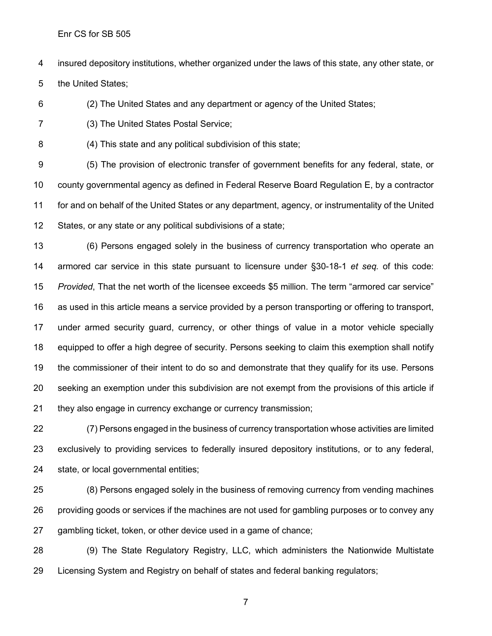insured depository institutions, whether organized under the laws of this state, any other state, or

the United States;

(2) The United States and any department or agency of the United States;

(3) The United States Postal Service;

(4) This state and any political subdivision of this state;

 (5) The provision of electronic transfer of government benefits for any federal, state, or county governmental agency as defined in Federal Reserve Board Regulation E, by a contractor for and on behalf of the United States or any department, agency, or instrumentality of the United States, or any state or any political subdivisions of a state;

 (6) Persons engaged solely in the business of currency transportation who operate an armored car service in this state pursuant to licensure under §30-18-1 *et seq.* of this code: *Provided*, That the net worth of the licensee exceeds \$5 million. The term "armored car service" as used in this article means a service provided by a person transporting or offering to transport, under armed security guard, currency, or other things of value in a motor vehicle specially equipped to offer a high degree of security. Persons seeking to claim this exemption shall notify the commissioner of their intent to do so and demonstrate that they qualify for its use. Persons seeking an exemption under this subdivision are not exempt from the provisions of this article if they also engage in currency exchange or currency transmission;

 (7) Persons engaged in the business of currency transportation whose activities are limited exclusively to providing services to federally insured depository institutions, or to any federal, state, or local governmental entities;

 (8) Persons engaged solely in the business of removing currency from vending machines providing goods or services if the machines are not used for gambling purposes or to convey any gambling ticket, token, or other device used in a game of chance;

 (9) The State Regulatory Registry, LLC, which administers the Nationwide Multistate Licensing System and Registry on behalf of states and federal banking regulators;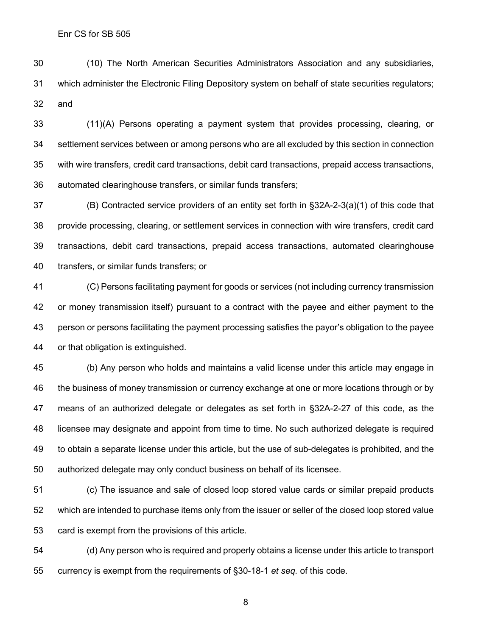(10) The North American Securities Administrators Association and any subsidiaries, which administer the Electronic Filing Depository system on behalf of state securities regulators; and

 (11)(A) Persons operating a payment system that provides processing, clearing, or settlement services between or among persons who are all excluded by this section in connection with wire transfers, credit card transactions, debit card transactions, prepaid access transactions, automated clearinghouse transfers, or similar funds transfers;

 (B) Contracted service providers of an entity set forth in §32A-2-3(a)(1) of this code that provide processing, clearing, or settlement services in connection with wire transfers, credit card transactions, debit card transactions, prepaid access transactions, automated clearinghouse transfers, or similar funds transfers; or

 (C) Persons facilitating payment for goods or services (not including currency transmission or money transmission itself) pursuant to a contract with the payee and either payment to the person or persons facilitating the payment processing satisfies the payor's obligation to the payee or that obligation is extinguished.

 (b) Any person who holds and maintains a valid license under this article may engage in the business of money transmission or currency exchange at one or more locations through or by means of an authorized delegate or delegates as set forth in §32A-2-27 of this code, as the licensee may designate and appoint from time to time. No such authorized delegate is required to obtain a separate license under this article, but the use of sub-delegates is prohibited, and the authorized delegate may only conduct business on behalf of its licensee.

 (c) The issuance and sale of closed loop stored value cards or similar prepaid products which are intended to purchase items only from the issuer or seller of the closed loop stored value card is exempt from the provisions of this article.

 (d) Any person who is required and properly obtains a license under this article to transport currency is exempt from the requirements of §30-18-1 *et seq.* of this code.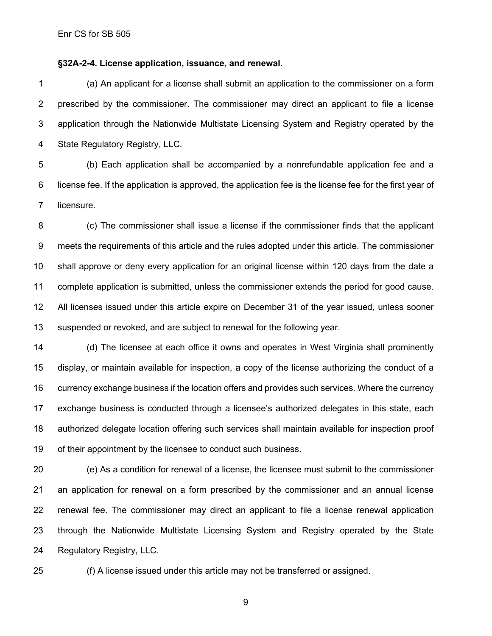#### **§32A-2-4. License application, issuance, and renewal.**

 (a) An applicant for a license shall submit an application to the commissioner on a form prescribed by the commissioner. The commissioner may direct an applicant to file a license application through the Nationwide Multistate Licensing System and Registry operated by the State Regulatory Registry, LLC.

 (b) Each application shall be accompanied by a nonrefundable application fee and a license fee. If the application is approved, the application fee is the license fee for the first year of licensure.

 (c) The commissioner shall issue a license if the commissioner finds that the applicant meets the requirements of this article and the rules adopted under this article. The commissioner shall approve or deny every application for an original license within 120 days from the date a complete application is submitted, unless the commissioner extends the period for good cause. All licenses issued under this article expire on December 31 of the year issued, unless sooner suspended or revoked, and are subject to renewal for the following year.

 (d) The licensee at each office it owns and operates in West Virginia shall prominently display, or maintain available for inspection, a copy of the license authorizing the conduct of a currency exchange business if the location offers and provides such services. Where the currency exchange business is conducted through a licensee's authorized delegates in this state, each authorized delegate location offering such services shall maintain available for inspection proof of their appointment by the licensee to conduct such business.

 (e) As a condition for renewal of a license, the licensee must submit to the commissioner an application for renewal on a form prescribed by the commissioner and an annual license renewal fee. The commissioner may direct an applicant to file a license renewal application through the Nationwide Multistate Licensing System and Registry operated by the State Regulatory Registry, LLC.

(f) A license issued under this article may not be transferred or assigned.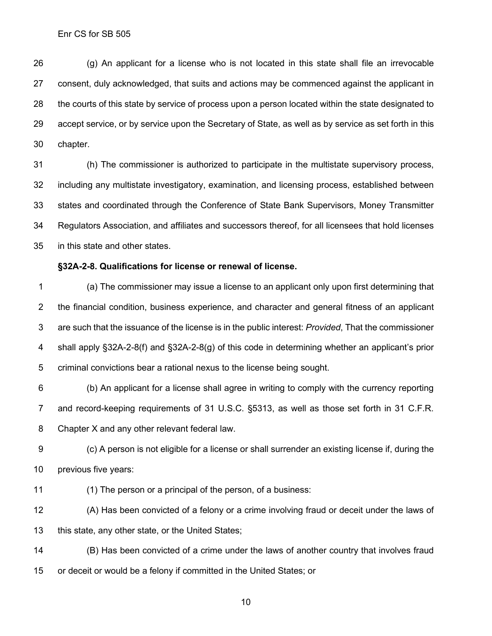(g) An applicant for a license who is not located in this state shall file an irrevocable consent, duly acknowledged, that suits and actions may be commenced against the applicant in the courts of this state by service of process upon a person located within the state designated to accept service, or by service upon the Secretary of State, as well as by service as set forth in this chapter.

 (h) The commissioner is authorized to participate in the multistate supervisory process, including any multistate investigatory, examination, and licensing process, established between states and coordinated through the Conference of State Bank Supervisors, Money Transmitter Regulators Association, and affiliates and successors thereof, for all licensees that hold licenses in this state and other states.

#### **§32A-2-8. Qualifications for license or renewal of license.**

 (a) The commissioner may issue a license to an applicant only upon first determining that the financial condition, business experience, and character and general fitness of an applicant are such that the issuance of the license is in the public interest: *Provided*, That the commissioner shall apply §32A-2-8(f) and §32A-2-8(g) of this code in determining whether an applicant's prior criminal convictions bear a rational nexus to the license being sought.

 (b) An applicant for a license shall agree in writing to comply with the currency reporting and record-keeping requirements of 31 U.S.C. §5313, as well as those set forth in 31 C.F.R. Chapter X and any other relevant federal law.

 (c) A person is not eligible for a license or shall surrender an existing license if, during the previous five years:

(1) The person or a principal of the person, of a business:

 (A) Has been convicted of a felony or a crime involving fraud or deceit under the laws of this state, any other state, or the United States;

 (B) Has been convicted of a crime under the laws of another country that involves fraud or deceit or would be a felony if committed in the United States; or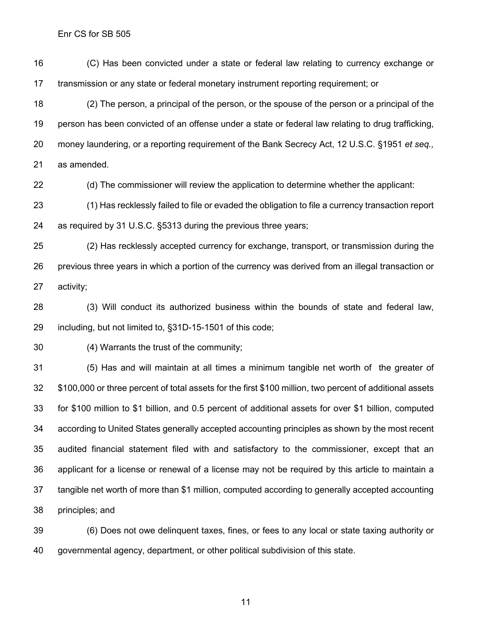(C) Has been convicted under a state or federal law relating to currency exchange or transmission or any state or federal monetary instrument reporting requirement; or

 (2) The person, a principal of the person, or the spouse of the person or a principal of the person has been convicted of an offense under a state or federal law relating to drug trafficking, money laundering, or a reporting requirement of the Bank Secrecy Act, 12 U.S.C. §1951 *et seq.,*  as amended.

(d) The commissioner will review the application to determine whether the applicant:

 (1) Has recklessly failed to file or evaded the obligation to file a currency transaction report as required by 31 U.S.C. §5313 during the previous three years;

 (2) Has recklessly accepted currency for exchange, transport, or transmission during the previous three years in which a portion of the currency was derived from an illegal transaction or activity;

 (3) Will conduct its authorized business within the bounds of state and federal law, including, but not limited to, §31D-15-1501 of this code;

(4) Warrants the trust of the community;

 (5) Has and will maintain at all times a minimum tangible net worth of the greater of \$100,000 or three percent of total assets for the first \$100 million, two percent of additional assets for \$100 million to \$1 billion, and 0.5 percent of additional assets for over \$1 billion, computed according to United States generally accepted accounting principles as shown by the most recent audited financial statement filed with and satisfactory to the commissioner, except that an applicant for a license or renewal of a license may not be required by this article to maintain a tangible net worth of more than \$1 million, computed according to generally accepted accounting principles; and

 (6) Does not owe delinquent taxes, fines, or fees to any local or state taxing authority or governmental agency, department, or other political subdivision of this state.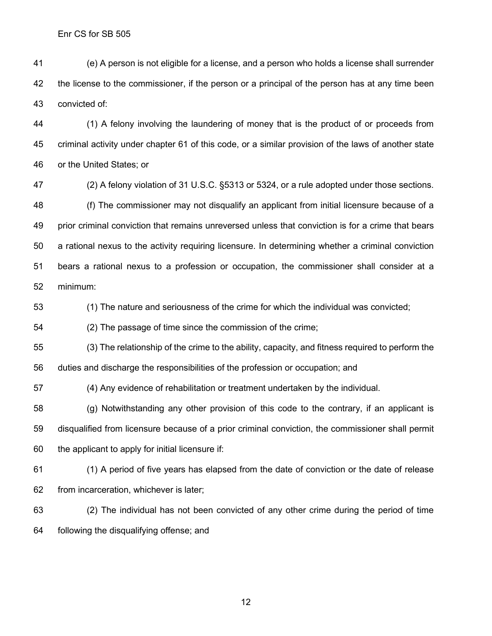(e) A person is not eligible for a license, and a person who holds a license shall surrender the license to the commissioner, if the person or a principal of the person has at any time been convicted of:

 (1) A felony involving the laundering of money that is the product of or proceeds from criminal activity under chapter 61 of this code, or a similar provision of the laws of another state or the United States; or

 (2) A felony violation of 31 U.S.C. §5313 or 5324, or a rule adopted under those sections. (f) The commissioner may not disqualify an applicant from initial licensure because of a prior criminal conviction that remains unreversed unless that conviction is for a crime that bears a rational nexus to the activity requiring licensure. In determining whether a criminal conviction bears a rational nexus to a profession or occupation, the commissioner shall consider at a minimum:

(1) The nature and seriousness of the crime for which the individual was convicted;

(2) The passage of time since the commission of the crime;

 (3) The relationship of the crime to the ability, capacity, and fitness required to perform the duties and discharge the responsibilities of the profession or occupation; and

(4) Any evidence of rehabilitation or treatment undertaken by the individual.

 (g) Notwithstanding any other provision of this code to the contrary, if an applicant is disqualified from licensure because of a prior criminal conviction, the commissioner shall permit the applicant to apply for initial licensure if:

 (1) A period of five years has elapsed from the date of conviction or the date of release from incarceration, whichever is later;

 (2) The individual has not been convicted of any other crime during the period of time following the disqualifying offense; and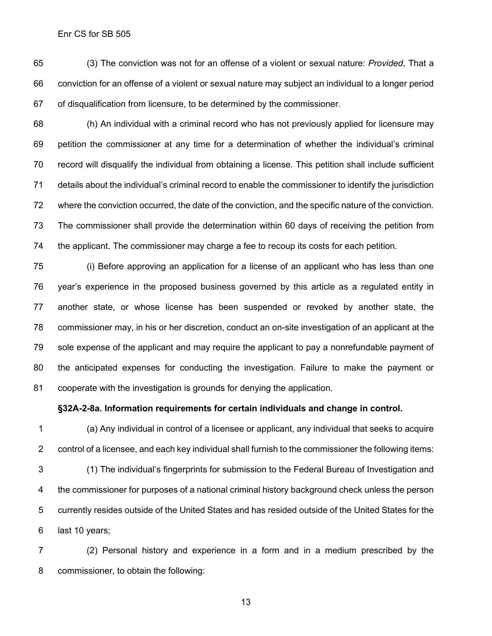(3) The conviction was not for an offense of a violent or sexual nature: *Provided*, That a conviction for an offense of a violent or sexual nature may subject an individual to a longer period of disqualification from licensure, to be determined by the commissioner.

 (h) An individual with a criminal record who has not previously applied for licensure may petition the commissioner at any time for a determination of whether the individual's criminal record will disqualify the individual from obtaining a license. This petition shall include sufficient details about the individual's criminal record to enable the commissioner to identify the jurisdiction where the conviction occurred, the date of the conviction, and the specific nature of the conviction. The commissioner shall provide the determination within 60 days of receiving the petition from the applicant. The commissioner may charge a fee to recoup its costs for each petition.

 (i) Before approving an application for a license of an applicant who has less than one year's experience in the proposed business governed by this article as a regulated entity in another state, or whose license has been suspended or revoked by another state, the commissioner may, in his or her discretion, conduct an on-site investigation of an applicant at the sole expense of the applicant and may require the applicant to pay a nonrefundable payment of the anticipated expenses for conducting the investigation. Failure to make the payment or cooperate with the investigation is grounds for denying the application.

**§32A-2-8a. Information requirements for certain individuals and change in control.**

 (a) Any individual in control of a licensee or applicant, any individual that seeks to acquire control of a licensee, and each key individual shall furnish to the commissioner the following items: (1) The individual's fingerprints for submission to the Federal Bureau of Investigation and the commissioner for purposes of a national criminal history background check unless the person currently resides outside of the United States and has resided outside of the United States for the last 10 years;

 (2) Personal history and experience in a form and in a medium prescribed by the commissioner, to obtain the following: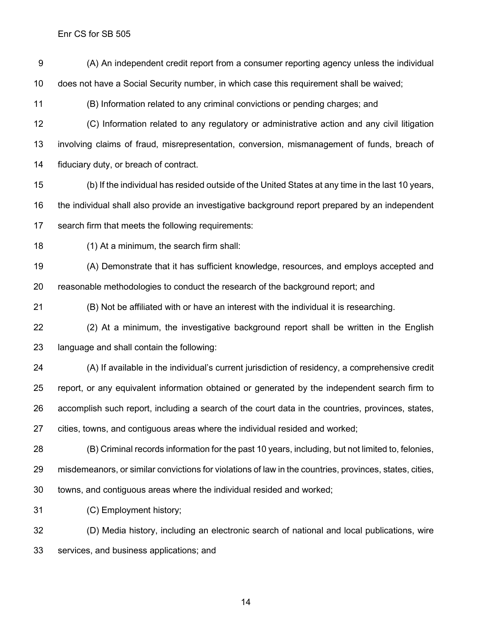(A) An independent credit report from a consumer reporting agency unless the individual does not have a Social Security number, in which case this requirement shall be waived; (B) Information related to any criminal convictions or pending charges; and (C) Information related to any regulatory or administrative action and any civil litigation involving claims of fraud, misrepresentation, conversion, mismanagement of funds, breach of fiduciary duty, or breach of contract. (b) If the individual has resided outside of the United States at any time in the last 10 years, the individual shall also provide an investigative background report prepared by an independent search firm that meets the following requirements: (1) At a minimum, the search firm shall: (A) Demonstrate that it has sufficient knowledge, resources, and employs accepted and reasonable methodologies to conduct the research of the background report; and (B) Not be affiliated with or have an interest with the individual it is researching. (2) At a minimum, the investigative background report shall be written in the English language and shall contain the following: (A) If available in the individual's current jurisdiction of residency, a comprehensive credit report, or any equivalent information obtained or generated by the independent search firm to accomplish such report, including a search of the court data in the countries, provinces, states, cities, towns, and contiguous areas where the individual resided and worked; (B) Criminal records information for the past 10 years, including, but not limited to, felonies, misdemeanors, or similar convictions for violations of law in the countries, provinces, states, cities,

(C) Employment history;

 (D) Media history, including an electronic search of national and local publications, wire services, and business applications; and

towns, and contiguous areas where the individual resided and worked;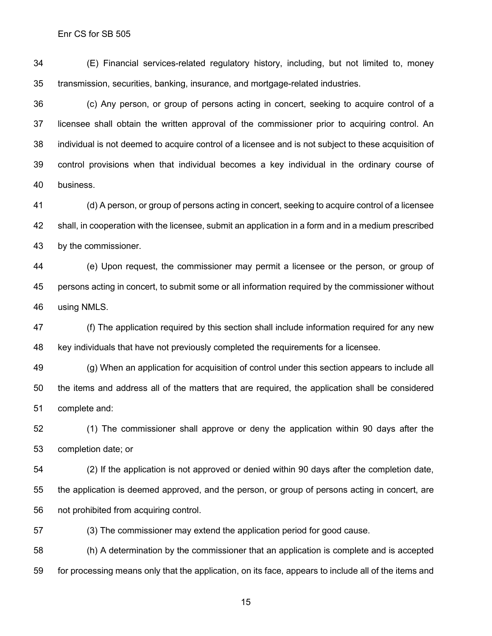(E) Financial services-related regulatory history, including, but not limited to, money transmission, securities, banking, insurance, and mortgage-related industries.

 (c) Any person, or group of persons acting in concert, seeking to acquire control of a licensee shall obtain the written approval of the commissioner prior to acquiring control. An individual is not deemed to acquire control of a licensee and is not subject to these acquisition of control provisions when that individual becomes a key individual in the ordinary course of business.

 (d) A person, or group of persons acting in concert, seeking to acquire control of a licensee shall, in cooperation with the licensee, submit an application in a form and in a medium prescribed by the commissioner.

 (e) Upon request, the commissioner may permit a licensee or the person, or group of persons acting in concert, to submit some or all information required by the commissioner without using NMLS.

 (f) The application required by this section shall include information required for any new key individuals that have not previously completed the requirements for a licensee.

 (g) When an application for acquisition of control under this section appears to include all the items and address all of the matters that are required, the application shall be considered complete and:

 (1) The commissioner shall approve or deny the application within 90 days after the completion date; or

 (2) If the application is not approved or denied within 90 days after the completion date, the application is deemed approved, and the person, or group of persons acting in concert, are not prohibited from acquiring control.

(3) The commissioner may extend the application period for good cause.

 (h) A determination by the commissioner that an application is complete and is accepted for processing means only that the application, on its face, appears to include all of the items and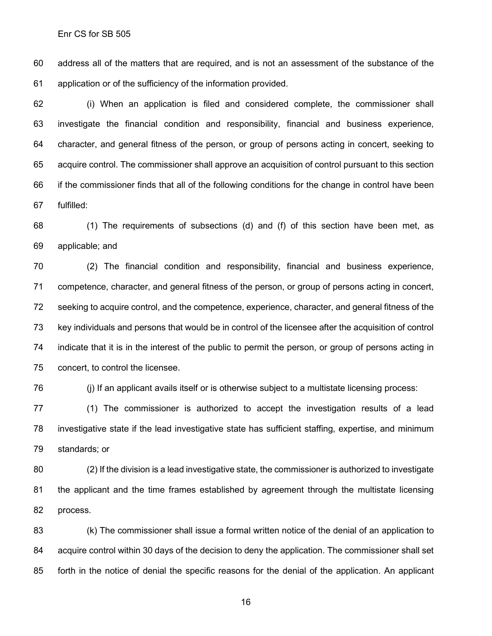address all of the matters that are required, and is not an assessment of the substance of the application or of the sufficiency of the information provided.

 (i) When an application is filed and considered complete, the commissioner shall investigate the financial condition and responsibility, financial and business experience, character, and general fitness of the person, or group of persons acting in concert, seeking to acquire control. The commissioner shall approve an acquisition of control pursuant to this section if the commissioner finds that all of the following conditions for the change in control have been fulfilled:

 (1) The requirements of subsections (d) and (f) of this section have been met, as applicable; and

 (2) The financial condition and responsibility, financial and business experience, competence, character, and general fitness of the person, or group of persons acting in concert, seeking to acquire control, and the competence, experience, character, and general fitness of the key individuals and persons that would be in control of the licensee after the acquisition of control indicate that it is in the interest of the public to permit the person, or group of persons acting in concert, to control the licensee.

(j) If an applicant avails itself or is otherwise subject to a multistate licensing process:

 (1) The commissioner is authorized to accept the investigation results of a lead investigative state if the lead investigative state has sufficient staffing, expertise, and minimum standards; or

 (2) If the division is a lead investigative state, the commissioner is authorized to investigate the applicant and the time frames established by agreement through the multistate licensing process.

 (k) The commissioner shall issue a formal written notice of the denial of an application to acquire control within 30 days of the decision to deny the application. The commissioner shall set forth in the notice of denial the specific reasons for the denial of the application. An applicant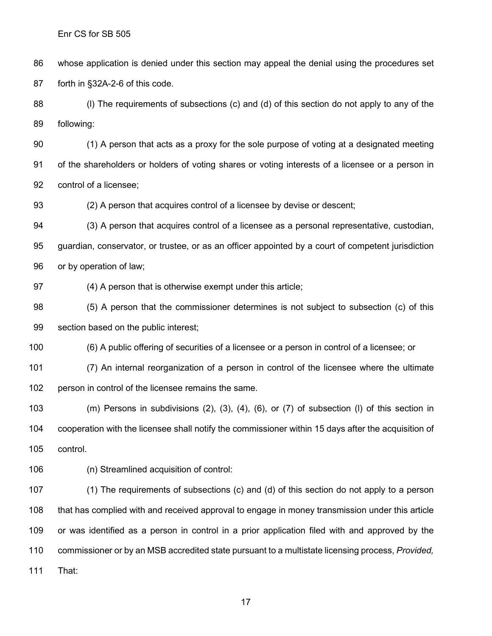whose application is denied under this section may appeal the denial using the procedures set forth in §32A-2-6 of this code.

88 (I) The requirements of subsections (c) and (d) of this section do not apply to any of the following:

 (1) A person that acts as a proxy for the sole purpose of voting at a designated meeting of the shareholders or holders of voting shares or voting interests of a licensee or a person in control of a licensee;

(2) A person that acquires control of a licensee by devise or descent;

 (3) A person that acquires control of a licensee as a personal representative, custodian, guardian, conservator, or trustee, or as an officer appointed by a court of competent jurisdiction or by operation of law;

(4) A person that is otherwise exempt under this article;

 (5) A person that the commissioner determines is not subject to subsection (c) of this section based on the public interest;

(6) A public offering of securities of a licensee or a person in control of a licensee; or

 (7) An internal reorganization of a person in control of the licensee where the ultimate person in control of the licensee remains the same.

 (m) Persons in subdivisions (2), (3), (4), (6), or (7) of subsection (l) of this section in cooperation with the licensee shall notify the commissioner within 15 days after the acquisition of control.

(n) Streamlined acquisition of control:

 (1) The requirements of subsections (c) and (d) of this section do not apply to a person that has complied with and received approval to engage in money transmission under this article or was identified as a person in control in a prior application filed with and approved by the commissioner or by an MSB accredited state pursuant to a multistate licensing process, *Provided,* That: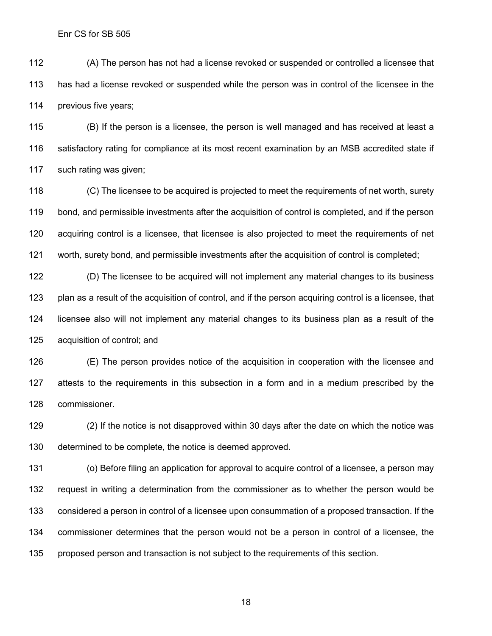(A) The person has not had a license revoked or suspended or controlled a licensee that has had a license revoked or suspended while the person was in control of the licensee in the previous five years;

 (B) If the person is a licensee, the person is well managed and has received at least a satisfactory rating for compliance at its most recent examination by an MSB accredited state if such rating was given;

 (C) The licensee to be acquired is projected to meet the requirements of net worth, surety bond, and permissible investments after the acquisition of control is completed, and if the person acquiring control is a licensee, that licensee is also projected to meet the requirements of net worth, surety bond, and permissible investments after the acquisition of control is completed;

 (D) The licensee to be acquired will not implement any material changes to its business plan as a result of the acquisition of control, and if the person acquiring control is a licensee, that licensee also will not implement any material changes to its business plan as a result of the acquisition of control; and

 (E) The person provides notice of the acquisition in cooperation with the licensee and attests to the requirements in this subsection in a form and in a medium prescribed by the commissioner.

 (2) If the notice is not disapproved within 30 days after the date on which the notice was determined to be complete, the notice is deemed approved.

 (o) Before filing an application for approval to acquire control of a licensee, a person may request in writing a determination from the commissioner as to whether the person would be considered a person in control of a licensee upon consummation of a proposed transaction. If the commissioner determines that the person would not be a person in control of a licensee, the proposed person and transaction is not subject to the requirements of this section.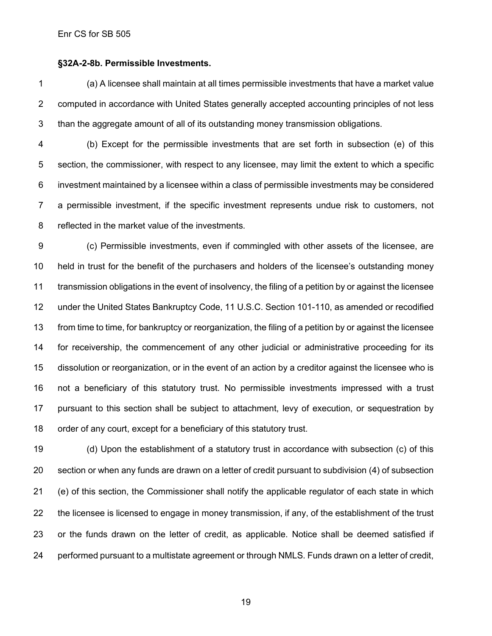#### **§32A-2-8b. Permissible Investments.**

 (a) A licensee shall maintain at all times permissible investments that have a market value computed in accordance with United States generally accepted accounting principles of not less than the aggregate amount of all of its outstanding money transmission obligations.

 (b) Except for the permissible investments that are set forth in subsection (e) of this section, the commissioner, with respect to any licensee, may limit the extent to which a specific investment maintained by a licensee within a class of permissible investments may be considered a permissible investment, if the specific investment represents undue risk to customers, not reflected in the market value of the investments.

 (c) Permissible investments, even if commingled with other assets of the licensee, are held in trust for the benefit of the purchasers and holders of the licensee's outstanding money transmission obligations in the event of insolvency, the filing of a petition by or against the licensee under the United States Bankruptcy Code, 11 U.S.C. Section 101-110, as amended or recodified from time to time, for bankruptcy or reorganization, the filing of a petition by or against the licensee for receivership, the commencement of any other judicial or administrative proceeding for its dissolution or reorganization, or in the event of an action by a creditor against the licensee who is not a beneficiary of this statutory trust. No permissible investments impressed with a trust pursuant to this section shall be subject to attachment, levy of execution, or sequestration by order of any court, except for a beneficiary of this statutory trust.

 (d) Upon the establishment of a statutory trust in accordance with subsection (c) of this section or when any funds are drawn on a letter of credit pursuant to subdivision (4) of subsection (e) of this section, the Commissioner shall notify the applicable regulator of each state in which the licensee is licensed to engage in money transmission, if any, of the establishment of the trust or the funds drawn on the letter of credit, as applicable. Notice shall be deemed satisfied if performed pursuant to a multistate agreement or through NMLS. Funds drawn on a letter of credit,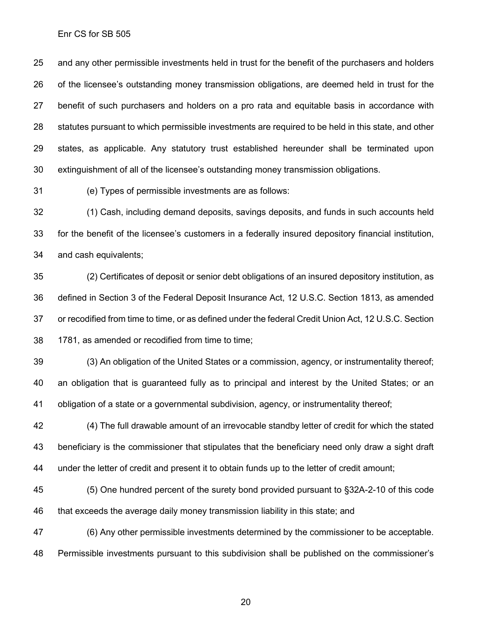and any other permissible investments held in trust for the benefit of the purchasers and holders of the licensee's outstanding money transmission obligations, are deemed held in trust for the benefit of such purchasers and holders on a pro rata and equitable basis in accordance with statutes pursuant to which permissible investments are required to be held in this state, and other states, as applicable. Any statutory trust established hereunder shall be terminated upon extinguishment of all of the licensee's outstanding money transmission obligations.

(e) Types of permissible investments are as follows:

 (1) Cash, including demand deposits, savings deposits, and funds in such accounts held for the benefit of the licensee's customers in a federally insured depository financial institution, and cash equivalents;

 (2) Certificates of deposit or senior debt obligations of an insured depository institution, as defined in Section 3 of the Federal Deposit Insurance Act, 12 U.S.C. Section 1813, as amended or recodified from time to time, or as defined under the federal Credit Union Act, 12 U.S.C. Section 1781, as amended or recodified from time to time;

 (3) An obligation of the United States or a commission, agency, or instrumentality thereof; an obligation that is guaranteed fully as to principal and interest by the United States; or an obligation of a state or a governmental subdivision, agency, or instrumentality thereof;

 (4) The full drawable amount of an irrevocable standby letter of credit for which the stated beneficiary is the commissioner that stipulates that the beneficiary need only draw a sight draft under the letter of credit and present it to obtain funds up to the letter of credit amount;

 (5) One hundred percent of the surety bond provided pursuant to §32A-2-10 of this code that exceeds the average daily money transmission liability in this state; and

 (6) Any other permissible investments determined by the commissioner to be acceptable. Permissible investments pursuant to this subdivision shall be published on the commissioner's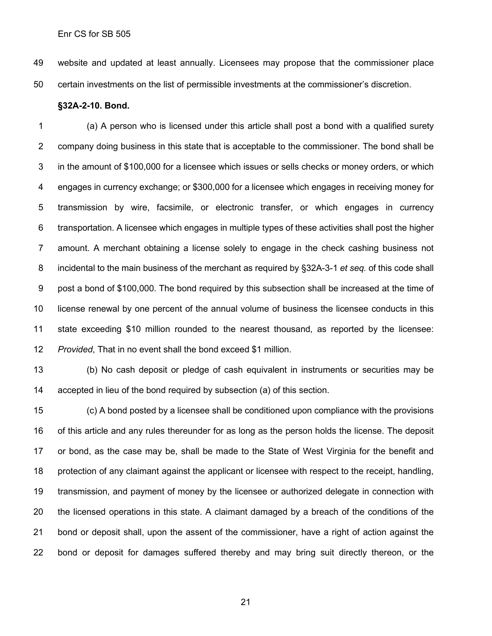website and updated at least annually. Licensees may propose that the commissioner place certain investments on the list of permissible investments at the commissioner's discretion.

#### **§32A-2-10. Bond.**

 (a) A person who is licensed under this article shall post a bond with a qualified surety company doing business in this state that is acceptable to the commissioner. The bond shall be in the amount of \$100,000 for a licensee which issues or sells checks or money orders, or which engages in currency exchange; or \$300,000 for a licensee which engages in receiving money for transmission by wire, facsimile, or electronic transfer, or which engages in currency transportation. A licensee which engages in multiple types of these activities shall post the higher amount. A merchant obtaining a license solely to engage in the check cashing business not incidental to the main business of the merchant as required by §32A-3-1 *et seq.* of this code shall post a bond of \$100,000. The bond required by this subsection shall be increased at the time of license renewal by one percent of the annual volume of business the licensee conducts in this state exceeding \$10 million rounded to the nearest thousand, as reported by the licensee: *Provided*, That in no event shall the bond exceed \$1 million.

 (b) No cash deposit or pledge of cash equivalent in instruments or securities may be accepted in lieu of the bond required by subsection (a) of this section.

 (c) A bond posted by a licensee shall be conditioned upon compliance with the provisions of this article and any rules thereunder for as long as the person holds the license. The deposit or bond, as the case may be, shall be made to the State of West Virginia for the benefit and protection of any claimant against the applicant or licensee with respect to the receipt, handling, transmission, and payment of money by the licensee or authorized delegate in connection with the licensed operations in this state. A claimant damaged by a breach of the conditions of the bond or deposit shall, upon the assent of the commissioner, have a right of action against the bond or deposit for damages suffered thereby and may bring suit directly thereon, or the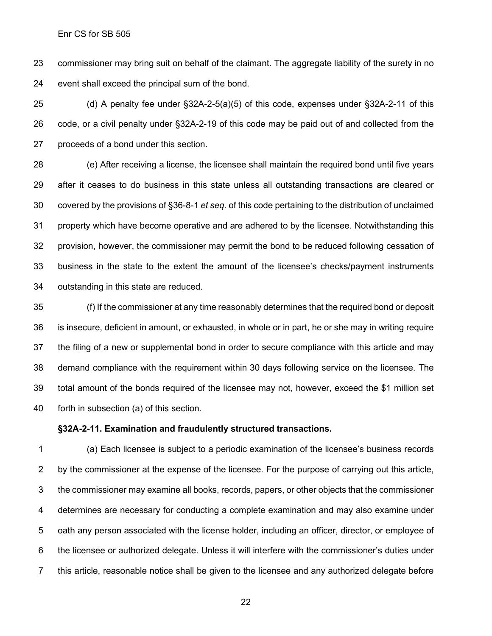commissioner may bring suit on behalf of the claimant. The aggregate liability of the surety in no event shall exceed the principal sum of the bond.

 (d) A penalty fee under §32A-2-5(a)(5) of this code, expenses under §32A-2-11 of this code, or a civil penalty under §32A-2-19 of this code may be paid out of and collected from the proceeds of a bond under this section.

 (e) After receiving a license, the licensee shall maintain the required bond until five years after it ceases to do business in this state unless all outstanding transactions are cleared or covered by the provisions of §36-8-1 *et seq.* of this code pertaining to the distribution of unclaimed property which have become operative and are adhered to by the licensee. Notwithstanding this provision, however, the commissioner may permit the bond to be reduced following cessation of business in the state to the extent the amount of the licensee's checks/payment instruments outstanding in this state are reduced.

 (f) If the commissioner at any time reasonably determines that the required bond or deposit is insecure, deficient in amount, or exhausted, in whole or in part, he or she may in writing require the filing of a new or supplemental bond in order to secure compliance with this article and may demand compliance with the requirement within 30 days following service on the licensee. The total amount of the bonds required of the licensee may not, however, exceed the \$1 million set forth in subsection (a) of this section.

#### **§32A-2-11. Examination and fraudulently structured transactions.**

 (a) Each licensee is subject to a periodic examination of the licensee's business records by the commissioner at the expense of the licensee. For the purpose of carrying out this article, the commissioner may examine all books, records, papers, or other objects that the commissioner determines are necessary for conducting a complete examination and may also examine under oath any person associated with the license holder, including an officer, director, or employee of the licensee or authorized delegate. Unless it will interfere with the commissioner's duties under this article, reasonable notice shall be given to the licensee and any authorized delegate before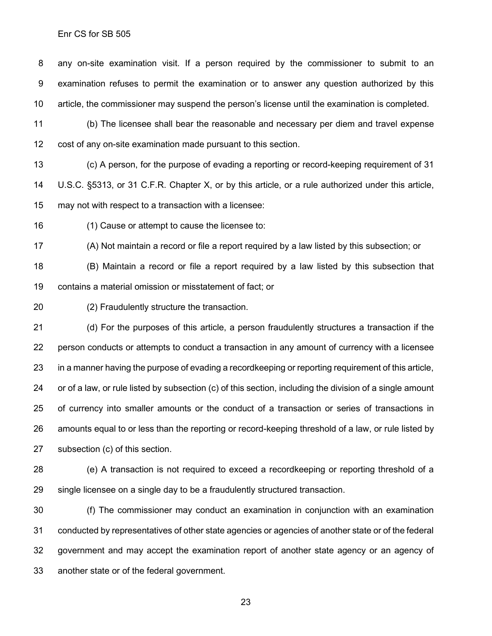any on-site examination visit. If a person required by the commissioner to submit to an examination refuses to permit the examination or to answer any question authorized by this article, the commissioner may suspend the person's license until the examination is completed.

 (b) The licensee shall bear the reasonable and necessary per diem and travel expense cost of any on-site examination made pursuant to this section.

 (c) A person, for the purpose of evading a reporting or record-keeping requirement of 31 U.S.C. §5313, or 31 C.F.R. Chapter X, or by this article, or a rule authorized under this article, may not with respect to a transaction with a licensee:

(1) Cause or attempt to cause the licensee to:

(A) Not maintain a record or file a report required by a law listed by this subsection; or

 (B) Maintain a record or file a report required by a law listed by this subsection that contains a material omission or misstatement of fact; or

(2) Fraudulently structure the transaction.

 (d) For the purposes of this article, a person fraudulently structures a transaction if the person conducts or attempts to conduct a transaction in any amount of currency with a licensee in a manner having the purpose of evading a recordkeeping or reporting requirement of this article, or of a law, or rule listed by subsection (c) of this section, including the division of a single amount of currency into smaller amounts or the conduct of a transaction or series of transactions in amounts equal to or less than the reporting or record-keeping threshold of a law, or rule listed by subsection (c) of this section.

 (e) A transaction is not required to exceed a recordkeeping or reporting threshold of a single licensee on a single day to be a fraudulently structured transaction.

 (f) The commissioner may conduct an examination in conjunction with an examination conducted by representatives of other state agencies or agencies of another state or of the federal government and may accept the examination report of another state agency or an agency of another state or of the federal government.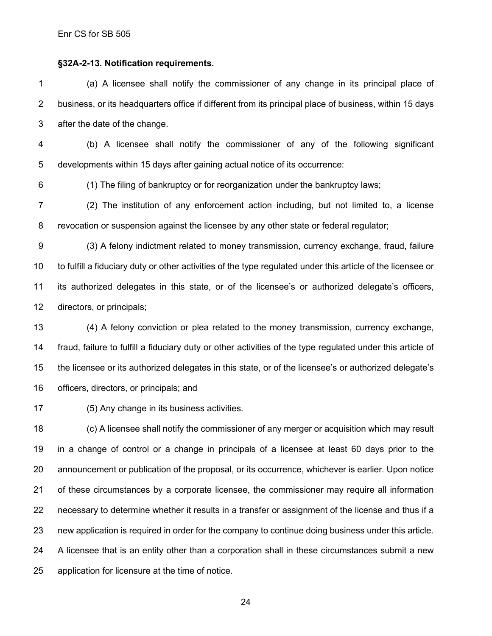#### **§32A-2-13. Notification requirements.**

 (a) A licensee shall notify the commissioner of any change in its principal place of business, or its headquarters office if different from its principal place of business, within 15 days after the date of the change.

 (b) A licensee shall notify the commissioner of any of the following significant developments within 15 days after gaining actual notice of its occurrence:

(1) The filing of bankruptcy or for reorganization under the bankruptcy laws;

 (2) The institution of any enforcement action including, but not limited to, a license revocation or suspension against the licensee by any other state or federal regulator;

 (3) A felony indictment related to money transmission, currency exchange, fraud, failure to fulfill a fiduciary duty or other activities of the type regulated under this article of the licensee or its authorized delegates in this state, or of the licensee's or authorized delegate's officers, directors, or principals;

 (4) A felony conviction or plea related to the money transmission, currency exchange, fraud, failure to fulfill a fiduciary duty or other activities of the type regulated under this article of the licensee or its authorized delegates in this state, or of the licensee's or authorized delegate's officers, directors, or principals; and

(5) Any change in its business activities.

 (c) A licensee shall notify the commissioner of any merger or acquisition which may result in a change of control or a change in principals of a licensee at least 60 days prior to the announcement or publication of the proposal, or its occurrence, whichever is earlier. Upon notice of these circumstances by a corporate licensee, the commissioner may require all information necessary to determine whether it results in a transfer or assignment of the license and thus if a new application is required in order for the company to continue doing business under this article. A licensee that is an entity other than a corporation shall in these circumstances submit a new application for licensure at the time of notice.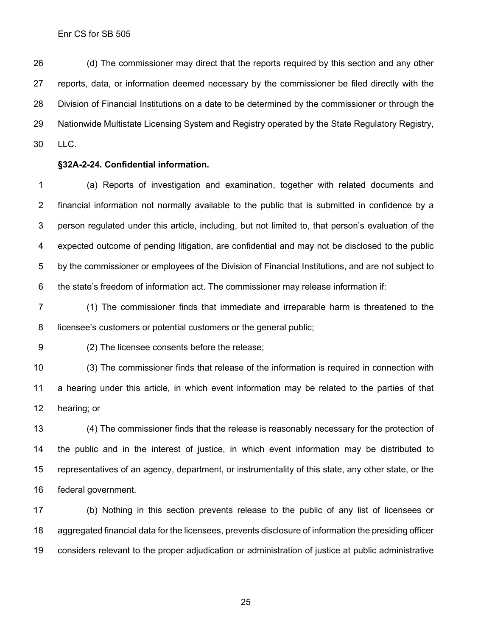(d) The commissioner may direct that the reports required by this section and any other reports, data, or information deemed necessary by the commissioner be filed directly with the Division of Financial Institutions on a date to be determined by the commissioner or through the Nationwide Multistate Licensing System and Registry operated by the State Regulatory Registry, LLC.

#### **§32A-2-24. Confidential information.**

 (a) Reports of investigation and examination, together with related documents and financial information not normally available to the public that is submitted in confidence by a person regulated under this article, including, but not limited to, that person's evaluation of the expected outcome of pending litigation, are confidential and may not be disclosed to the public by the commissioner or employees of the Division of Financial Institutions, and are not subject to the state's freedom of information act. The commissioner may release information if:

 (1) The commissioner finds that immediate and irreparable harm is threatened to the licensee's customers or potential customers or the general public;

(2) The licensee consents before the release;

 (3) The commissioner finds that release of the information is required in connection with a hearing under this article, in which event information may be related to the parties of that hearing; or

 (4) The commissioner finds that the release is reasonably necessary for the protection of the public and in the interest of justice, in which event information may be distributed to representatives of an agency, department, or instrumentality of this state, any other state, or the federal government.

 (b) Nothing in this section prevents release to the public of any list of licensees or aggregated financial data for the licensees, prevents disclosure of information the presiding officer considers relevant to the proper adjudication or administration of justice at public administrative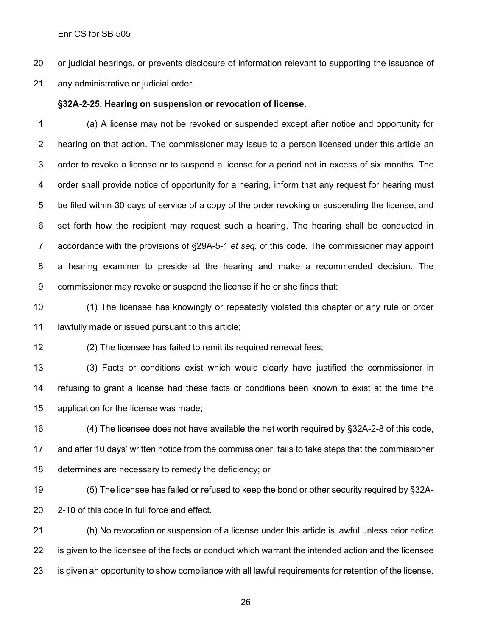or judicial hearings, or prevents disclosure of information relevant to supporting the issuance of any administrative or judicial order.

#### **§32A-2-25. Hearing on suspension or revocation of license.**

 (a) A license may not be revoked or suspended except after notice and opportunity for hearing on that action. The commissioner may issue to a person licensed under this article an order to revoke a license or to suspend a license for a period not in excess of six months. The order shall provide notice of opportunity for a hearing, inform that any request for hearing must be filed within 30 days of service of a copy of the order revoking or suspending the license, and set forth how the recipient may request such a hearing. The hearing shall be conducted in accordance with the provisions of §29A-5-1 *et seq.* of this code. The commissioner may appoint a hearing examiner to preside at the hearing and make a recommended decision. The commissioner may revoke or suspend the license if he or she finds that:

 (1) The licensee has knowingly or repeatedly violated this chapter or any rule or order lawfully made or issued pursuant to this article;

(2) The licensee has failed to remit its required renewal fees;

 (3) Facts or conditions exist which would clearly have justified the commissioner in refusing to grant a license had these facts or conditions been known to exist at the time the application for the license was made;

 (4) The licensee does not have available the net worth required by §32A-2-8 of this code, and after 10 days' written notice from the commissioner, fails to take steps that the commissioner determines are necessary to remedy the deficiency; or

 (5) The licensee has failed or refused to keep the bond or other security required by §32A-2-10 of this code in full force and effect.

 (b) No revocation or suspension of a license under this article is lawful unless prior notice is given to the licensee of the facts or conduct which warrant the intended action and the licensee is given an opportunity to show compliance with all lawful requirements for retention of the license.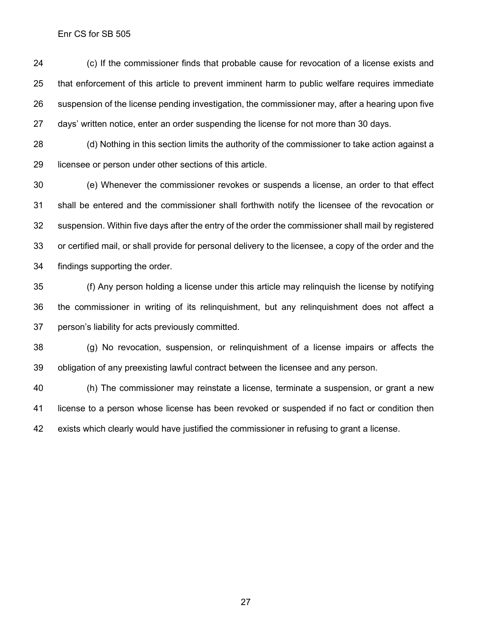(c) If the commissioner finds that probable cause for revocation of a license exists and that enforcement of this article to prevent imminent harm to public welfare requires immediate suspension of the license pending investigation, the commissioner may, after a hearing upon five days' written notice, enter an order suspending the license for not more than 30 days.

 (d) Nothing in this section limits the authority of the commissioner to take action against a licensee or person under other sections of this article.

 (e) Whenever the commissioner revokes or suspends a license, an order to that effect shall be entered and the commissioner shall forthwith notify the licensee of the revocation or suspension. Within five days after the entry of the order the commissioner shall mail by registered or certified mail, or shall provide for personal delivery to the licensee, a copy of the order and the findings supporting the order.

 (f) Any person holding a license under this article may relinquish the license by notifying the commissioner in writing of its relinquishment, but any relinquishment does not affect a person's liability for acts previously committed.

 (g) No revocation, suspension, or relinquishment of a license impairs or affects the obligation of any preexisting lawful contract between the licensee and any person.

 (h) The commissioner may reinstate a license, terminate a suspension, or grant a new license to a person whose license has been revoked or suspended if no fact or condition then exists which clearly would have justified the commissioner in refusing to grant a license.